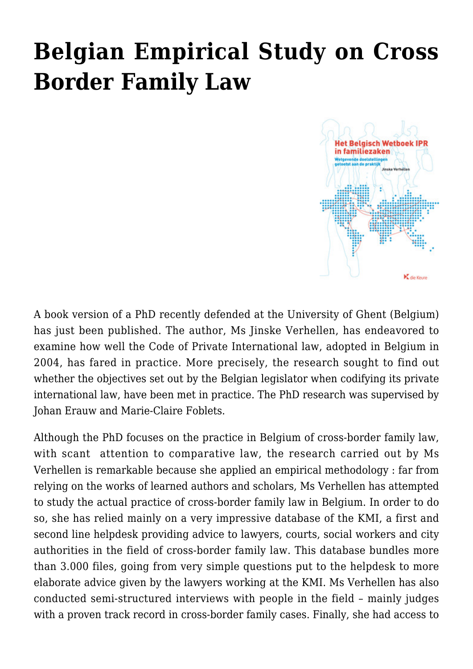## **[Belgian Empirical Study on Cross](https://conflictoflaws.net/2012/belgian-empirical-study-on-cross-border-family-law/) [Border Family Law](https://conflictoflaws.net/2012/belgian-empirical-study-on-cross-border-family-law/)**



A [book version](http://www.diekeure-juridischeuitgaven.be/catalogue/detail_nl.phtml?id=1205&bestelcode=202%20122%20200) of a PhD recently defended at the [University of Ghent](http://www.ugent.be/re) (Belgium) has just been published. The author, Ms Jinske Verhellen, has endeavored to examine how well the [Code of Private International law,](http://www.ipr.be/content/WbIPR%5BEN%5D.pdf) adopted in Belgium in 2004, has fared in practice. More precisely, the research sought to find out whether the objectives set out by the Belgian legislator when codifying its private international law, have been met in practice. The PhD research was supervised by [Johan Erauw](http://www.erauw-law.be/) and [Marie-Claire Foblets.](http://www.eth.mpg.de/cms/de/people/d/foblets/)

Although the PhD focuses on the practice in Belgium of cross-border family law, with scant attention to comparative law, the research carried out by Ms Verhellen is remarkable because she applied an empirical methodology : far from relying on the works of learned authors and scholars, Ms Verhellen has attempted to study the actual practice of cross-border family law in Belgium. In order to do so, she has relied mainly on a very impressive database of the [KMI](http://www.kruispuntmi.be/thema.aspx?id=1206), a first and second line helpdesk providing advice to lawyers, courts, social workers and city authorities in the field of cross-border family law. This database bundles more than 3.000 files, going from very simple questions put to the helpdesk to more elaborate advice given by the lawyers working at the KMI. Ms Verhellen has also conducted semi-structured interviews with people in the field – mainly judges with a proven track record in cross-border family cases. Finally, she had access to